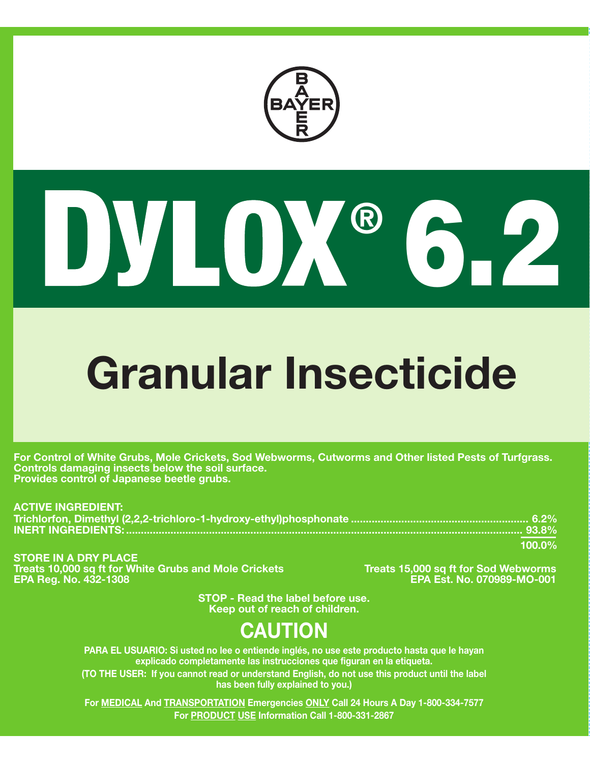

# 6.2 **®**

# **Granular Insecticide**

**For Control of White Grubs, Mole Crickets, Sod Webworms, Cutworms and Other listed Pests of Turfgrass. Controls damaging insects below the soil surface. Provides control of Japanese beetle grubs.**

**ACTIVE INGREDIENT: Trichlorfon, Dimethyl (2,2,2-trichloro-1-hydroxy-ethyl)phosphonate ............................................................ 6.2% INERT INGREDIENTS: ...................................................................................................................................... 93.8% 100.0%**

**STORE IN A DRY PLACE** Treats 10,000 sq ft for White Grubs and Mole Crickets **Treats 15,000 sq ft for Sod Webworms**<br>EPA Reg. No. 432-1308 EPA Reg. No. 070989-MO-001

**EPA Reg. No. 432-1308 EPA Est. No. 070989-MO-001**

**STOP - Read the label before use. Keep out of reach of children.**

# **CAUTION**

**PARA EL USUARIO: Si usted no lee o entiende inglés, no use este producto hasta que le hayan explicado completamente las instrucciones que figuran en la etiqueta. (TO THE USER: If you cannot read or understand English, do not use this product until the label has been fully explained to you.)**

**For MEDICAL And TRANSPORTATION Emergencies ONLY Call 24 Hours A Day 1-800-334-7577 For PRODUCT USE Information Call 1-800-331-2867**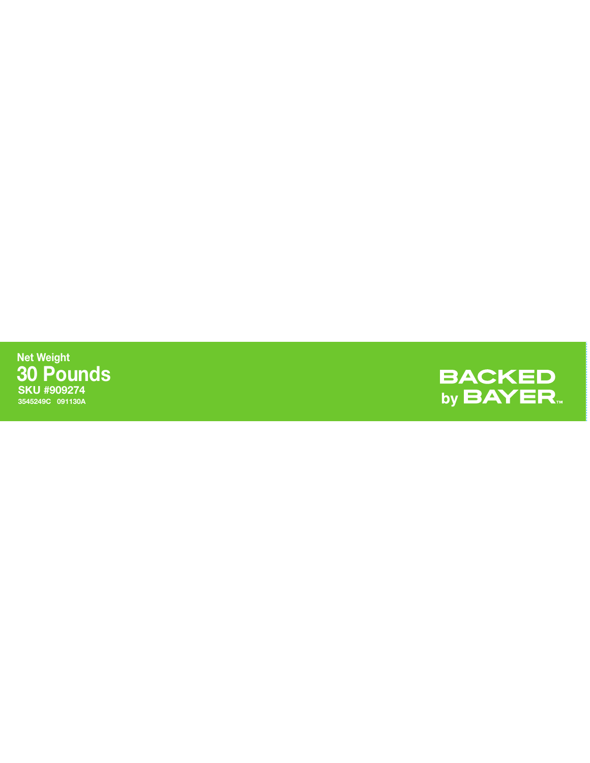**SKU #909274 3545249C 091130A Net Weight 30 Pounds**

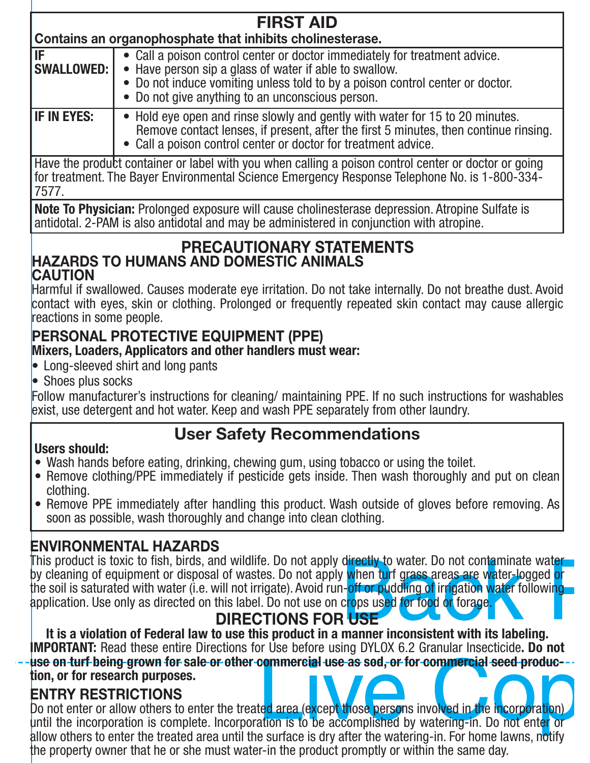| <b>FIRST AID</b>                                          |                                                                                                                                                                                                                                                                           |  |
|-----------------------------------------------------------|---------------------------------------------------------------------------------------------------------------------------------------------------------------------------------------------------------------------------------------------------------------------------|--|
| Contains an organophosphate that inhibits cholinesterase. |                                                                                                                                                                                                                                                                           |  |
| IF<br><b>SWALLOWED: I</b>                                 | • Call a poison control center or doctor immediately for treatment advice.<br>• Have person sip a glass of water if able to swallow.<br>• Do not induce vomiting unless told to by a poison control center or doctor.<br>• Do not give anything to an unconscious person. |  |
| <b>IF IN EYES:</b>                                        | • Hold eye open and rinse slowly and gently with water for 15 to 20 minutes.<br>Remove contact lenses, if present, after the first 5 minutes, then continue rinsing.<br>• Call a poison control center or doctor for treatment advice.                                    |  |

Have the product container or label with you when calling a poison control center or doctor or going for treatment. The Bayer Environmental Science Emergency Response Telephone No. is 1-800-334-7577.

**Note To Physician:** Prolonged exposure will cause cholinesterase depression. Atropine Sulfate is antidotal. 2-PAM is also antidotal and may be administered in conjunction with atropine.

#### **PRECAUTIONARY STATEMENTS HAZARDS TO HUMANS AND DOMESTIC ANIMALS CAUTION**

Harmful if swallowed. Causes moderate eye irritation. Do not take internally. Do not breathe dust. Avoid contact with eyes, skin or clothing. Prolonged or frequently repeated skin contact may cause allergic reactions in some people.

# **PERSONAL PROTECTIVE EQUIPMENT (PPE)**

#### **Mixers, Loaders, Applicators and other handlers must wear:**

- Long-sleeved shirt and long pants
- Shoes plus socks

Follow manufacturer's instructions for cleaning/ maintaining PPE. If no such instructions for washables exist, use detergent and hot water. Keep and wash PPE separately from other laundry.

# **User Safety Recommendations**

#### **Users should:**

- Wash hands before eating, drinking, chewing gum, using tobacco or using the toilet.
- Remove clothing/PPE immediately if pesticide gets inside. Then wash thoroughly and put on clean clothing.
- Remove PPE immediately after handling this product. Wash outside of gloves before removing. As soon as possible, wash thoroughly and change into clean clothing.

# **ENVIRONMENTAL HAZARDS**

This product is toxic to fish, birds, and wildlife. Do not apply directly to water. Do not contaminate water that by cleaning of equipment or disposal of wastes. Do not apply when turf grass areas are water-logged or the soil is saturated with water (i.e. will not irrigate). Avoid run-off or puddling of irrigation water following application. Use only as directed on this label. Do not use on crops used for food or forage.

# **DIRECTIONS FOR USE**

**It is a violation of Federal law to use this product in a manner inconsistent with its labeling. IMPORTANT:** Read these entire Directions for Use before using DYLOX 6.2 Granular Insecticide. Do not use on turf being grown for sale or other commercial use as sod, or for commercial seed produc**tion, or for research purposes.**

#### **ENTRY RESTRICTIONS**

Do not enter or allow others to enter the treated area (except those persons involved in the incorporation) until the incorporation is complete. Incorporation is to be accomplished by watering-in. Do not enter or allow others to enter the treated area until the surface is dry after the watering-in. For home lawns, notify the property owner that he or she must water-in the product promptly or within the same day.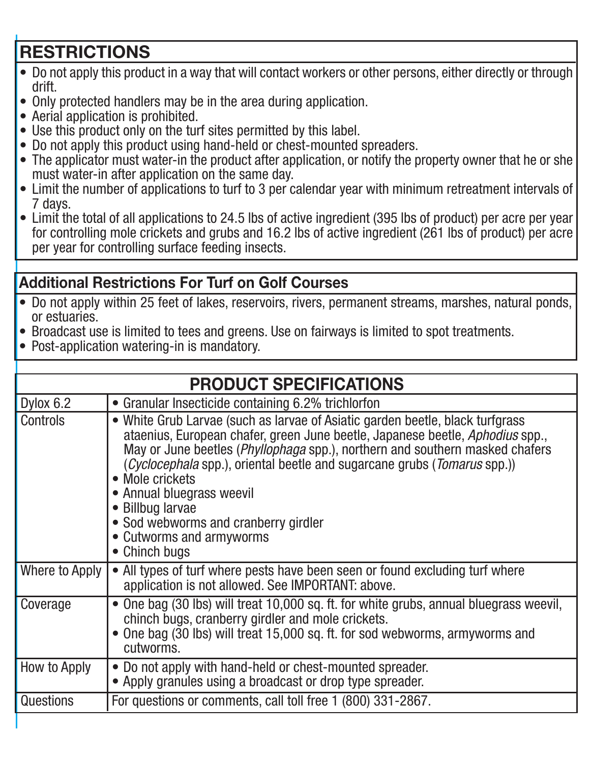# **RESTRICTIONS**

- Do not apply this product in a way that will contact workers or other persons, either directly or through drift.
- Only protected handlers may be in the area during application.
- Aerial application is prohibited.
- Use this product only on the turf sites permitted by this label.
- Do not apply this product using hand-held or chest-mounted spreaders.
- The applicator must water-in the product after application, or notify the property owner that he or she must water-in after application on the same day.
- Limit the number of applications to turf to 3 per calendar year with minimum retreatment intervals of 7 days.
- Limit the total of all applications to 24.5 lbs of active ingredient (395 lbs of product) per acre per year for controlling mole crickets and grubs and 16.2 lbs of active ingredient (261 lbs of product) per acre per year for controlling surface feeding insects.

### **Additional Restrictions For Turf on Golf Courses**

- $\bullet$  Do not apply within 25 feet of lakes, reservoirs, rivers, permanent streams, marshes, natural ponds, or estuaries.
- Broadcast use is limited to tees and greens. Use on fairways is limited to spot treatments.
- Post-application watering-in is mandatory.

| <b>PRODUCT SPECIFICATIONS</b> |                                                                                                                                                                                                                                                                                                                                                                                                                                                                                                             |  |
|-------------------------------|-------------------------------------------------------------------------------------------------------------------------------------------------------------------------------------------------------------------------------------------------------------------------------------------------------------------------------------------------------------------------------------------------------------------------------------------------------------------------------------------------------------|--|
| Dylox 6.2                     | • Granular Insecticide containing 6.2% trichlorfon                                                                                                                                                                                                                                                                                                                                                                                                                                                          |  |
| Controls                      | • White Grub Larvae (such as larvae of Asiatic garden beetle, black turfgrass<br>ataenius, European chafer, green June beetle, Japanese beetle, Aphodius spp.,<br>May or June beetles ( <i>Phyllophaga</i> spp.), northern and southern masked chafers<br>( <i>Cyclocephala</i> spp.), oriental beetle and sugarcane grubs ( <i>Tomarus</i> spp.))<br>• Mole crickets<br>• Annual bluegrass weevil<br>• Billbug larvae<br>• Sod webworms and cranberry girdler<br>• Cutworms and armyworms<br>• Chinch bugs |  |
| Where to Apply                | • All types of turf where pests have been seen or found excluding turf where<br>application is not allowed. See IMPORTANT: above.                                                                                                                                                                                                                                                                                                                                                                           |  |
| Coverage                      | • One bag (30 lbs) will treat 10,000 sq. ft. for white grubs, annual bluegrass weevil,<br>chinch bugs, cranberry girdler and mole crickets.<br>• One bag (30 lbs) will treat 15,000 sq. ft. for sod webworms, armyworms and<br>cutworms.                                                                                                                                                                                                                                                                    |  |
| How to Apply                  | • Do not apply with hand-held or chest-mounted spreader.<br>• Apply granules using a broadcast or drop type spreader.                                                                                                                                                                                                                                                                                                                                                                                       |  |
| <b>Questions</b>              | For questions or comments, call toll free 1 (800) 331-2867.                                                                                                                                                                                                                                                                                                                                                                                                                                                 |  |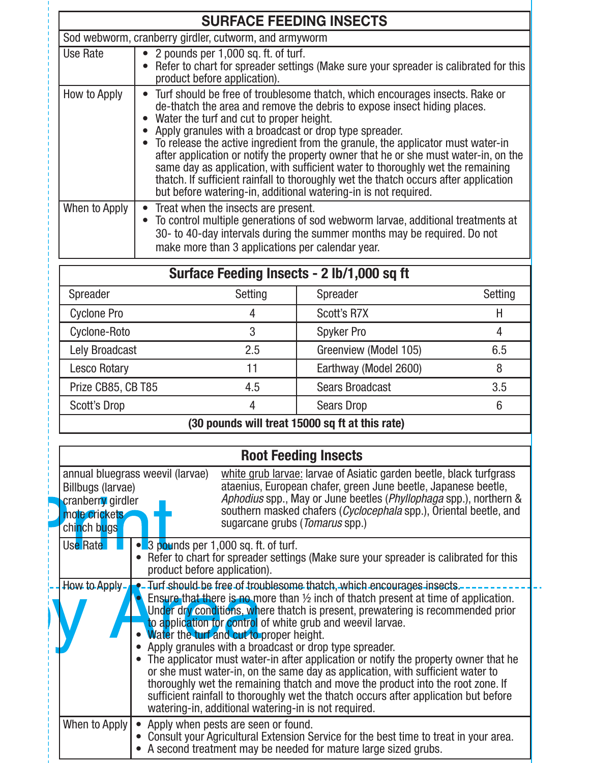| <b>SURFACE FEEDING INSECTS</b> |                                                                                                                                                                                                                                                                                                                                                                                                                                                                                                                                                                                                                                                                                               |  |
|--------------------------------|-----------------------------------------------------------------------------------------------------------------------------------------------------------------------------------------------------------------------------------------------------------------------------------------------------------------------------------------------------------------------------------------------------------------------------------------------------------------------------------------------------------------------------------------------------------------------------------------------------------------------------------------------------------------------------------------------|--|
|                                | Sod webworm, cranberry girdler, cutworm, and armyworm                                                                                                                                                                                                                                                                                                                                                                                                                                                                                                                                                                                                                                         |  |
| Use Rate                       | • 2 pounds per 1,000 sq. ft. of turf.<br>• Refer to chart for spreader settings (Make sure your spreader is calibrated for this<br>product before application).                                                                                                                                                                                                                                                                                                                                                                                                                                                                                                                               |  |
| How to Apply                   | • Turf should be free of troublesome thatch, which encourages insects. Rake or<br>de-thatch the area and remove the debris to expose insect hiding places.<br>• Water the turf and cut to proper height.<br>• Apply granules with a broadcast or drop type spreader.<br>• To release the active ingredient from the granule, the applicator must water-in<br>after application or notify the property owner that he or she must water-in, on the<br>same day as application, with sufficient water to thoroughly wet the remaining<br>thatch. If sufficient rainfall to thoroughly wet the thatch occurs after application<br>but before watering-in, additional watering-in is not required. |  |
| When to Apply                  | • Treat when the insects are present.<br>To control multiple generations of sod webworm larvae, additional treatments at<br>30- to 40-day intervals during the summer months may be required. Do not<br>make more than 3 applications per calendar year.                                                                                                                                                                                                                                                                                                                                                                                                                                      |  |

| Surface Feeding Insects - 2 lb/1,000 sq ft |         |                        |         |
|--------------------------------------------|---------|------------------------|---------|
| Spreader                                   | Setting | Spreader               | Setting |
| <b>Cyclone Pro</b>                         | 4       | <b>Scott's R7X</b>     | Н       |
| Cyclone-Roto                               | 3       | <b>Spyker Pro</b>      |         |
| Lely Broadcast                             | 2.5     | Greenview (Model 105)  | 6.5     |
| <b>Lesco Rotary</b>                        |         | Earthway (Model 2600)  | 8       |
| Prize CB85, CB T85                         | 4.5     | <b>Sears Broadcast</b> | 3.5     |
| <b>Scott's Drop</b>                        | 4       | <b>Sears Drop</b>      | 6       |
| $\sim$<br>.<br>$\cdots$                    |         |                        |         |

**(30 pounds will treat 15000 sq ft at this rate)**

|                                                                                                                                                                                                                                                                                                                                                                                                                                                                                                                                                                                                                                                                                                                                                                                                                                                                  | <b>Root Feeding Insects</b>                                                                                |                                                                                                                                                                                                                                                                                                                           |  |
|------------------------------------------------------------------------------------------------------------------------------------------------------------------------------------------------------------------------------------------------------------------------------------------------------------------------------------------------------------------------------------------------------------------------------------------------------------------------------------------------------------------------------------------------------------------------------------------------------------------------------------------------------------------------------------------------------------------------------------------------------------------------------------------------------------------------------------------------------------------|------------------------------------------------------------------------------------------------------------|---------------------------------------------------------------------------------------------------------------------------------------------------------------------------------------------------------------------------------------------------------------------------------------------------------------------------|--|
|                                                                                                                                                                                                                                                                                                                                                                                                                                                                                                                                                                                                                                                                                                                                                                                                                                                                  | annual bluegrass weevil (larvae)<br>Billbugs (larvae)<br>cranberry girdler<br>mole crickets<br>chinch bugs | white grub larvae: larvae of Asiatic garden beetle, black turfgrass<br>ataenius, European chafer, green June beetle, Japanese beetle,<br>Aphodius spp., May or June beetles (Phyllophaga spp.), northern &<br>southern masked chafers (Cyclocephala spp.), Oriental beetle, and<br>sugarcane grubs ( <i>Tomarus</i> spp.) |  |
|                                                                                                                                                                                                                                                                                                                                                                                                                                                                                                                                                                                                                                                                                                                                                                                                                                                                  | Use Rate<br>product before application).                                                                   | • 3 pounds per 1,000 sq. ft. of turf.<br>Refer to chart for spreader settings (Make sure your spreader is calibrated for this                                                                                                                                                                                             |  |
| $How to Apply -$<br>• Turf should be free of troublesome thatch, which encourages insects.<br>Ensure that there is no more than $\frac{1}{2}$ inch of thatch present at time of application.<br>Under dry conditions, where thatch is present, prewatering is recommended prior<br>to application for control of white grub and weevil larvae.<br>Water the turf and cut to proper height.<br>Apply granules with a broadcast or drop type spreader.<br>The applicator must water-in after application or notify the property owner that he<br>or she must water-in, on the same day as application, with sufficient water to<br>thoroughly wet the remaining thatch and move the product into the root zone. If<br>sufficient rainfall to thoroughly wet the thatch occurs after application but before<br>watering-in, additional watering-in is not required. |                                                                                                            |                                                                                                                                                                                                                                                                                                                           |  |
|                                                                                                                                                                                                                                                                                                                                                                                                                                                                                                                                                                                                                                                                                                                                                                                                                                                                  | When to Apply                                                                                              | • Apply when pests are seen or found.<br>• Consult your Agricultural Extension Service for the best time to treat in your area.<br>A second treatment may be needed for mature large sized grubs.                                                                                                                         |  |